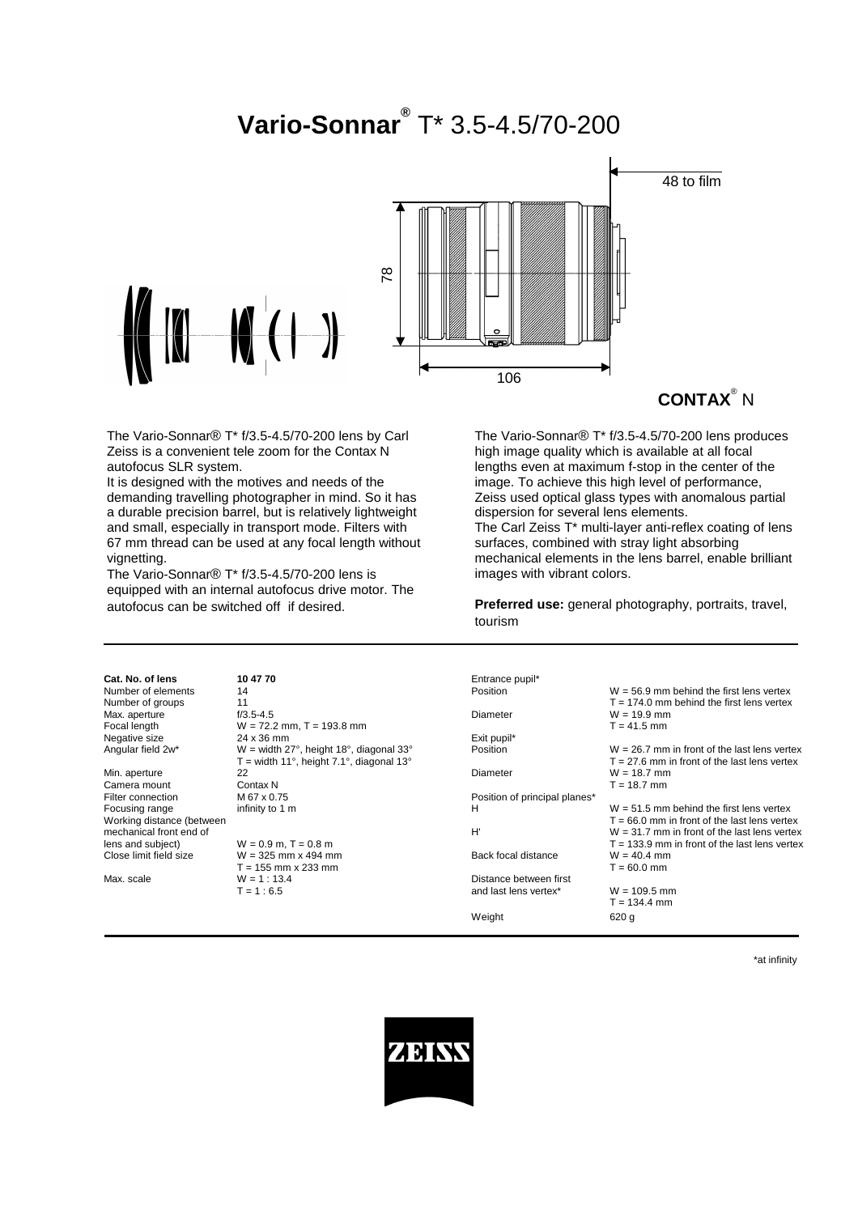# **Vario-Sonnar®** T\* 3.5-4.5/70-200



**CONTAX**® N

The Vario-Sonnar® T\* f/3.5-4.5/70-200 lens by Carl Zeiss is a convenient tele zoom for the Contax N autofocus SLR system.

It is designed with the motives and needs of the demanding travelling photographer in mind. So it has a durable precision barrel, but is relatively lightweight and small, especially in transport mode. Filters with 67 mm thread can be used at any focal length without vignetting.

The Vario-Sonnar® T\* f/3.5-4.5/70-200 lens is equipped with an internal autofocus drive motor. The autofocus can be switched off if desired.

The Vario-Sonnar® T\* f/3.5-4.5/70-200 lens produces high image quality which is available at all focal lengths even at maximum f-stop in the center of the image. To achieve this high level of performance, Zeiss used optical glass types with anomalous partial dispersion for several lens elements. The Carl Zeiss T\* multi-layer anti-reflex coating of lens surfaces, combined with stray light absorbing mechanical elements in the lens barrel, enable brilliant images with vibrant colors.

**Preferred use:** general photography, portraits, travel, tourism

| Cat. No. of lens          | 10 47 70                                   | Entrance pupil*               |                                                 |
|---------------------------|--------------------------------------------|-------------------------------|-------------------------------------------------|
| Number of elements        | 14                                         | Position                      | $W = 56.9$ mm behind the first lens vertex      |
| Number of groups          | 11                                         |                               | $T = 174.0$ mm behind the first lens vertex     |
| Max. aperture             | $f/3.5 - 4.5$                              | <b>Diameter</b>               | $W = 19.9$ mm                                   |
| Focal length              | $W = 72.2$ mm, T = 193.8 mm                |                               | $T = 41.5$ mm                                   |
| Negative size             | 24 x 36 mm                                 | Exit pupil*                   |                                                 |
| Angular field 2w*         | $W =$ width 27°, height 18°, diagonal 33°  | Position                      | $W = 26.7$ mm in front of the last lens vertex  |
|                           | $T =$ width 11°, height 7.1°, diagonal 13° |                               | $T = 27.6$ mm in front of the last lens vertex  |
| Min. aperture             | 22                                         | Diameter                      | $W = 18.7$ mm                                   |
| Camera mount              | Contax N                                   |                               | $T = 18.7$ mm                                   |
| Filter connection         | M 67 x 0.75                                | Position of principal planes* |                                                 |
| Focusing range            | infinity to 1 m                            | н                             | $W = 51.5$ mm behind the first lens vertex      |
| Working distance (between |                                            |                               | $T = 66.0$ mm in front of the last lens vertex  |
| mechanical front end of   |                                            | H'                            | $W = 31.7$ mm in front of the last lens vertex  |
| lens and subject)         | $W = 0.9$ m, T = 0.8 m                     |                               | $T = 133.9$ mm in front of the last lens vertex |
| Close limit field size    | $W = 325$ mm x 494 mm                      | Back focal distance           | $W = 40.4$ mm                                   |
|                           | $T = 155$ mm x 233 mm                      |                               | $T = 60.0$ mm                                   |
| Max. scale                | $W = 1 : 13.4$                             | Distance between first        |                                                 |
|                           | $T = 1:6.5$                                | and last lens vertex*         | $W = 109.5$ mm                                  |
|                           |                                            |                               | $T = 134.4$ mm                                  |
|                           |                                            | Weight                        | 620 g                                           |

\*at infinity

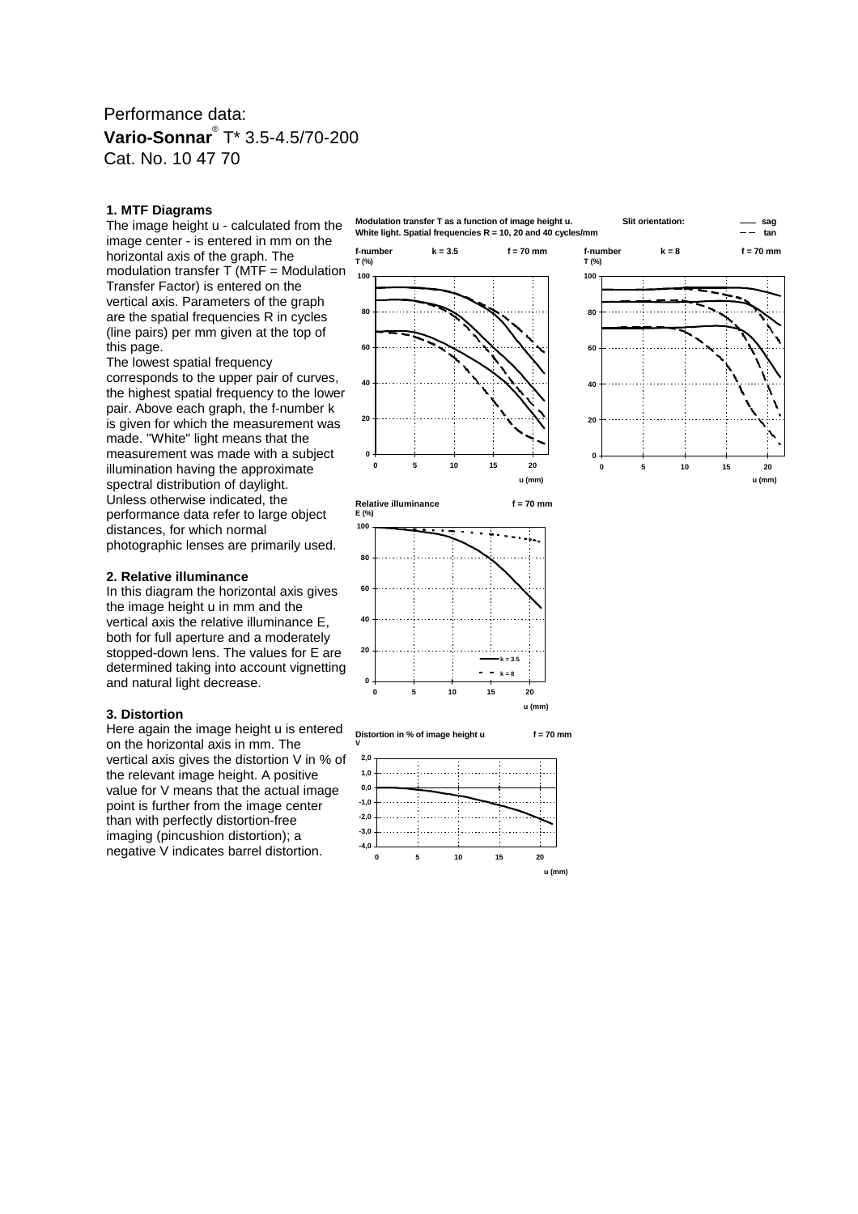## Performance data: **Vario-Sonnar**® T\* 3.5-4.5/70-200 Cat. No. 10 47 70

#### **1. MTF Diagrams**

The image height u - calculated from the image center - is entered in mm on the horizontal axis of the graph. The modulation transfer T (MTF = Modulation Transfer Factor) is entered on the vertical axis. Parameters of the graph are the spatial frequencies R in cycles (line pairs) per mm given at the top of this page.

The lowest spatial frequency corresponds to the upper pair of curves, the highest spatial frequency to the lower pair. Above each graph, the f-number k is given for which the measurement was made. "White" light means that the measurement was made with a subject illumination having the approximate spectral distribution of daylight. Unless otherwise indicated, the performance data refer to large object distances, for which normal photographic lenses are primarily used.

## **2. Relative illuminance**

In this diagram the horizontal axis gives the image height u in mm and the vertical axis the relative illuminance E, both for full aperture and a moderately stopped-down lens. The values for E are determined taking into account vignetting and natural light decrease.

#### **3. Distortion**

Here again the image height u is entered on the horizontal axis in mm. The vertical axis gives the distortion V in % of the relevant image height. A positive value for V means that the actual image point is further from the image center than with perfectly distortion-free imaging (pincushion distortion); a negative V indicates barrel distortion.









**V** 







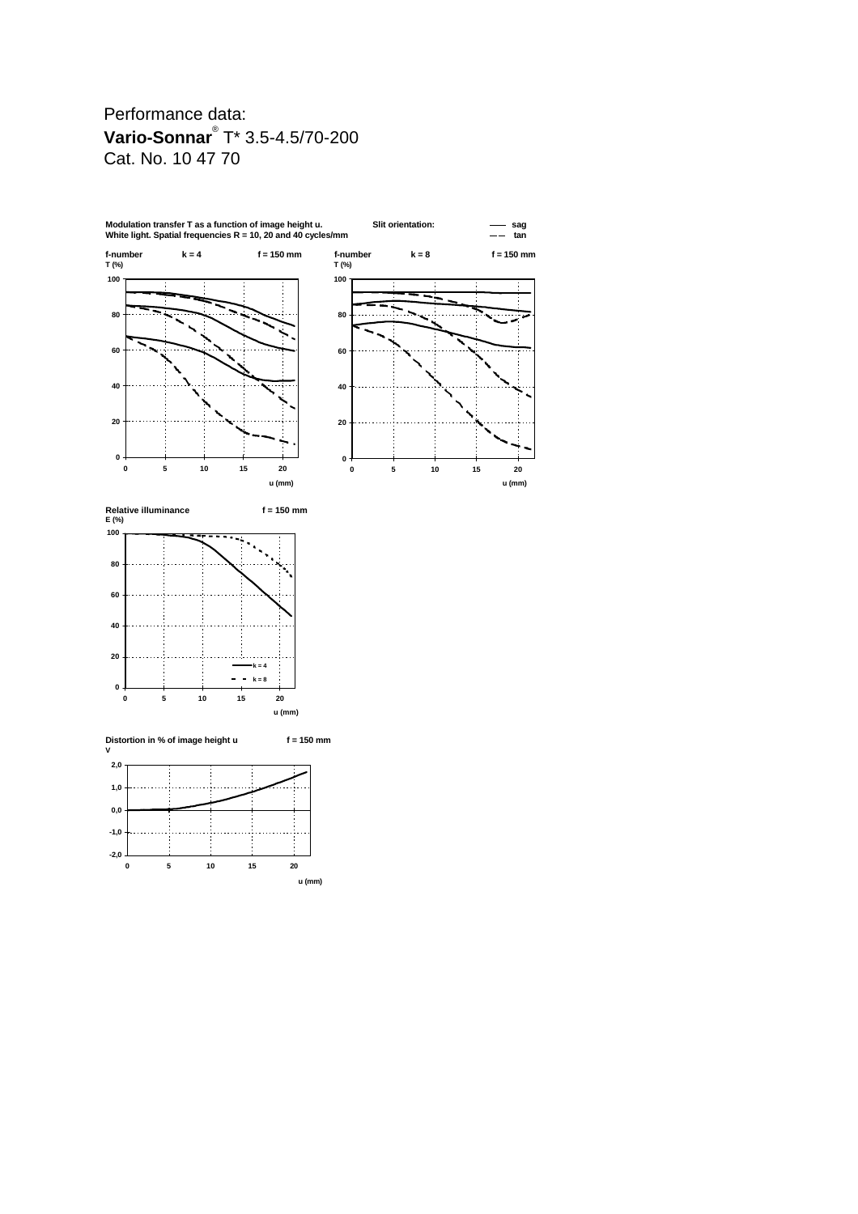# Performance data: **Vario-Sonnar**® T\* 3.5-4.5/70-200 Cat. No. 10 47 70